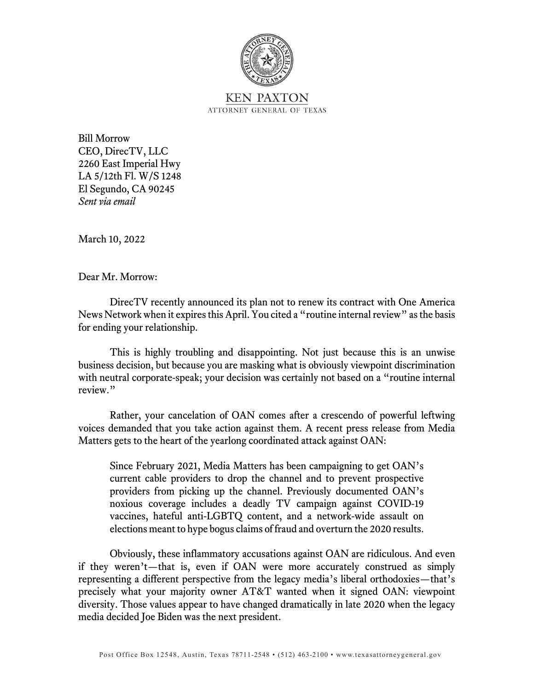

Bill Morrow CEO, DirecTV, LLC 2260 East Imperial Hwy LA 5/12th Fl. W/S 1248 El Segundo, CA 90245 *Sent via email*

March 10, 2022

Dear Mr. Morrow:

DirecTV recently announced its plan not to renew its contract with One America News Network when it expires this April. You cited a "routine internal review" as the basis for ending your relationship.

This is highly troubling and disappointing. Not just because this is an unwise business decision, but because you are masking what is obviously viewpoint discrimination with neutral corporate-speak; your decision was certainly not based on a "routine internal review."

Rather, your cancelation of OAN comes after a crescendo of powerful leftwing voices demanded that you take action against them. A recent press release from Media Matters gets to the heart of the yearlong coordinated attack against OAN:

Since February 2021, Media Matters has been campaigning to get OAN's current cable providers to drop the channel and to prevent prospective providers from picking up the channel. Previously documented OAN's noxious coverage includes a deadly TV campaign against COVID-19 vaccines, hateful anti-LGBTQ content, and a network-wide assault on elections meant to hype bogus claims of fraud and overturn the 2020 results.

Obviously, these inflammatory accusations against OAN are ridiculous. And even if they weren't—that is, even if OAN were more accurately construed as simply representing a different perspective from the legacy media's liberal orthodoxies—that's precisely what your majority owner AT&T wanted when it signed OAN: viewpoint diversity. Those values appear to have changed dramatically in late 2020 when the legacy media decided Joe Biden was the next president.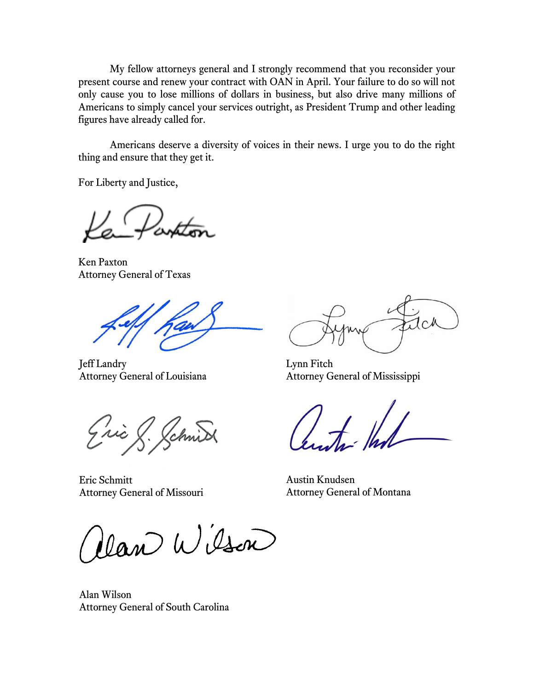My fellow attorneys general and I strongly recommend that you reconsider your present course and renew your contract with OAN in April. Your failure to do so will not only cause you to lose millions of dollars in business, but also drive many millions of Americans to simply cancel your services outright, as President Trump and other leading figures have already called for.

Americans deserve a diversity of voices in their news. I urge you to do the right thing and ensure that they get it.

For Liberty and Justice,

Ken Paxton Attorney General of Texas

Jeff Landry Attorney General of Louisiana

Eric & Schnid

Eric Schmitt Attorney General of Missouri

Van Wilson

Alan Wilson Attorney General of South Carolina

 $C_{\Lambda}$ 

Lynn Fitch Attorney General of Mississippi

 $\frac{1}{2}$ 

Austin Knudsen Attorney General of Montana